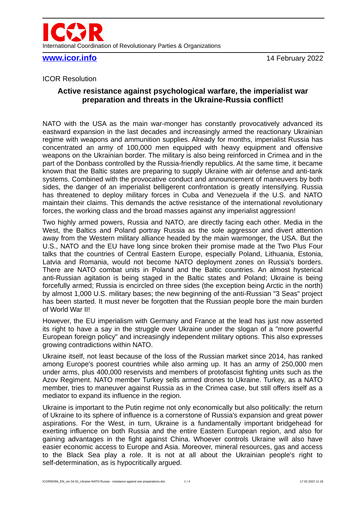

**[www.icor.info](http://www.icor.info/)** 14 February 2022

#### ICOR Resolution

# **Active resistance against psychological warfare, the imperialist war preparation and threats in the Ukraine-Russia conflict!**

NATO with the USA as the main war-monger has constantly provocatively advanced its eastward expansion in the last decades and increasingly armed the reactionary Ukrainian regime with weapons and ammunition supplies. Already for months, imperialist Russia has concentrated an army of 100,000 men equipped with heavy equipment and offensive weapons on the Ukrainian border. The military is also being reinforced in Crimea and in the part of the Donbass controlled by the Russia-friendly republics. At the same time, it became known that the Baltic states are preparing to supply Ukraine with air defense and anti-tank systems. Combined with the provocative conduct and announcement of maneuvers by both sides, the danger of an imperialist belligerent confrontation is greatly intensifying. Russia has threatened to deploy military forces in Cuba and Venezuela if the U.S. and NATO maintain their claims. This demands the active resistance of the international revolutionary forces, the working class and the broad masses against any imperialist aggression!

Two highly armed powers, Russia and NATO, are directly facing each other. Media in the West, the Baltics and Poland portray Russia as the sole aggressor and divert attention away from the Western military alliance headed by the main warmonger, the USA. But the U.S., NATO and the EU have long since broken their promise made at the Two Plus Four talks that the countries of Central Eastern Europe, especially Poland, Lithuania, Estonia, Latvia and Romania, would not become NATO deployment zones on Russia's borders. There are NATO combat units in Poland and the Baltic countries. An almost hysterical anti-Russian agitation is being staged in the Baltic states and Poland; Ukraine is being forcefully armed; Russia is encircled on three sides (the exception being Arctic in the north) by almost 1,000 U.S. military bases; the new beginning of the anti-Russian "3 Seas" project has been started. It must never be forgotten that the Russian people bore the main burden of World War II!

However, the EU imperialism with Germany and France at the lead has just now asserted its right to have a say in the struggle over Ukraine under the slogan of a "more powerful European foreign policy" and increasingly independent military options. This also expresses growing contradictions within NATO.

Ukraine itself, not least because of the loss of the Russian market since 2014, has ranked among Europe's poorest countries while also arming up. It has an army of 250,000 men under arms, plus 400,000 reservists and members of protofascist fighting units such as the Azov Regiment. NATO member Turkey sells armed drones to Ukraine. Turkey, as a NATO member, tries to maneuver against Russia as in the Crimea case, but still offers itself as a mediator to expand its influence in the region.

Ukraine is important to the Putin regime not only economically but also politically: the return of Ukraine to its sphere of influence is a cornerstone of Russia's expansion and great power aspirations. For the West, in turn, Ukraine is a fundamentally important bridgehead for exerting influence on both Russia and the entire Eastern European region, and also for gaining advantages in the fight against China. Whoever controls Ukraine will also have easier economic access to Europe and Asia. Moreover, mineral resources, gas and access to the Black Sea play a role. It is not at all about the Ukrainian people's right to self-determination, as is hypocritically argued.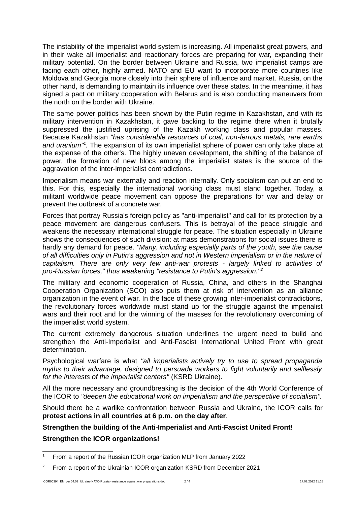The instability of the imperialist world system is increasing. All imperialist great powers, and in their wake all imperialist and reactionary forces are preparing for war, expanding their military potential. On the border between Ukraine and Russia, two imperialist camps are facing each other, highly armed. NATO and EU want to incorporate more countries like Moldova and Georgia more closely into their sphere of influence and market. Russia, on the other hand, is demanding to maintain its influence over these states. In the meantime, it has signed a pact on military cooperation with Belarus and is also conducting maneuvers from the north on the border with Ukraine.

The same power politics has been shown by the Putin regime in Kazakhstan, and with its military intervention in Kazakhstan, it gave backing to the regime there when it brutally suppressed the justified uprising of the Kazakh working class and popular masses. Because Kazakhstan *"has considerable resources of coal, non-ferrous metals, rare earths and uranium"[1](#page-1-0) .* The expansion of its own imperialist sphere of power can only take place at the expense of the other's. The highly uneven development, the shifting of the balance of power, the formation of new blocs among the imperialist states is the source of the aggravation of the inter-imperialist contradictions.

Imperialism means war externally and reaction internally. Only socialism can put an end to this. For this, especially the international working class must stand together. Today, a militant worldwide peace movement can oppose the preparations for war and delay or prevent the outbreak of a concrete war.

Forces that portray Russia's foreign policy as "anti-imperialist" and call for its protection by a peace movement are dangerous confusers. This is betrayal of the peace struggle and weakens the necessary international struggle for peace. The situation especially in Ukraine shows the consequences of such division: at mass demonstrations for social issues there is hardly any demand for peace. *"Many, including especially parts of the youth, see the cause of all difficulties only in Putin's aggression and not in Western imperialism or in the nature of capitalism. There are only very few anti-war protests - largely linked to activities of pro-Russian forces," thus weakening "resistance to Putin's aggression."[2](#page-1-1)*

The military and economic cooperation of Russia, China, and others in the Shanghai Cooperation Organization (SCO) also puts them at risk of intervention as an alliance organization in the event of war. In the face of these growing inter-imperialist contradictions, the revolutionary forces worldwide must stand up for the struggle against the imperialist wars and their root and for the winning of the masses for the revolutionary overcoming of the imperialist world system.

The current extremely dangerous situation underlines the urgent need to build and strengthen the Anti-Imperialist and Anti-Fascist International United Front with great determination.

Psychological warfare is what *"all imperialists actively try to use to spread propaganda myths to their advantage, designed to persuade workers to fight voluntarily and selflessly for the interests of the imperialist centers"* (KSRD Ukraine).

All the more necessary and groundbreaking is the decision of the 4th World Conference of the ICOR to *"deepen the educational work on imperialism and the perspective of socialism".*

Should there be a warlike confrontation between Russia and Ukraine, the ICOR calls for **protest actions in all countries at 6 p.m. on the day after**.

## **Strengthen the building of the Anti-Imperialist and Anti-Fascist United Front!**

### **Strengthen the ICOR organizations!**

<span id="page-1-0"></span><sup>&</sup>lt;sup>1</sup> From a report of the Russian ICOR organization MLP from January 2022

<span id="page-1-1"></span><sup>&</sup>lt;sup>2</sup> From a report of the Ukrainian ICOR organization KSRD from December 2021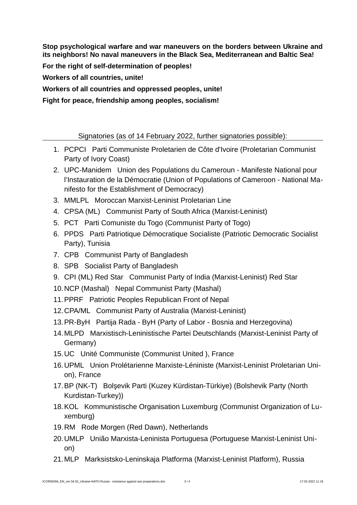**Stop psychological warfare and war maneuvers on the borders between Ukraine and its neighbors! No naval maneuvers in the Black Sea, Mediterranean and Baltic Sea!**

**For the right of self-determination of peoples!**

**Workers of all countries, unite!**

**Workers of all countries and oppressed peoples, unite!** 

**Fight for peace, friendship among peoples, socialism!**

Signatories (as of 14 February 2022, further signatories possible):

- 1. PCPCI Parti Communiste Proletarien de Côte d'Ivoire (Proletarian Communist Party of Ivory Coast)
- 2. UPC-Manidem Union des Populations du Cameroun Manifeste National pour l'Instauration de la Démocratie (Union of Populations of Cameroon - National Manifesto for the Establishment of Democracy)
- 3. MMLPL Moroccan Marxist-Leninist Proletarian Line
- 4. CPSA (ML) Communist Party of South Africa (Marxist-Leninist)
- 5. PCT Parti Comuniste du Togo (Communist Party of Togo)
- 6. PPDS Parti Patriotique Démocratique Socialiste (Patriotic Democratic Socialist Party), Tunisia
- 7. CPB Communist Party of Bangladesh
- 8. SPB Socialist Party of Bangladesh
- 9. CPI (ML) Red Star Communist Party of India (Marxist-Leninist) Red Star
- 10.NCP (Mashal) Nepal Communist Party (Mashal)
- 11.PPRF Patriotic Peoples Republican Front of Nepal
- 12.CPA/ML Communist Party of Australia (Marxist-Leninist)
- 13.PR-ByH Partija Rada ByH (Party of Labor Bosnia and Herzegovina)
- 14.MLPD Marxistisch-Leninistische Partei Deutschlands (Marxist-Leninist Party of Germany)
- 15.UC Unité Communiste (Communist United ), France
- 16.UPML Union Prolétarienne Marxiste-Léniniste (Marxist-Leninist Proletarian Union), France
- 17.BP (NK-T) Bolşevik Parti (Kuzey Kürdistan-Türkiye) (Bolshevik Party (North Kurdistan-Turkey))
- 18.KOL Kommunistische Organisation Luxemburg (Communist Organization of Luxemburg)
- 19.RM Rode Morgen (Red Dawn), Netherlands
- 20.UMLP União Marxista-Leninista Portuguesa (Portuguese Marxist-Leninist Union)
- 21.MLP Marksistsko-Leninskaja Platforma (Marxist-Leninist Platform), Russia